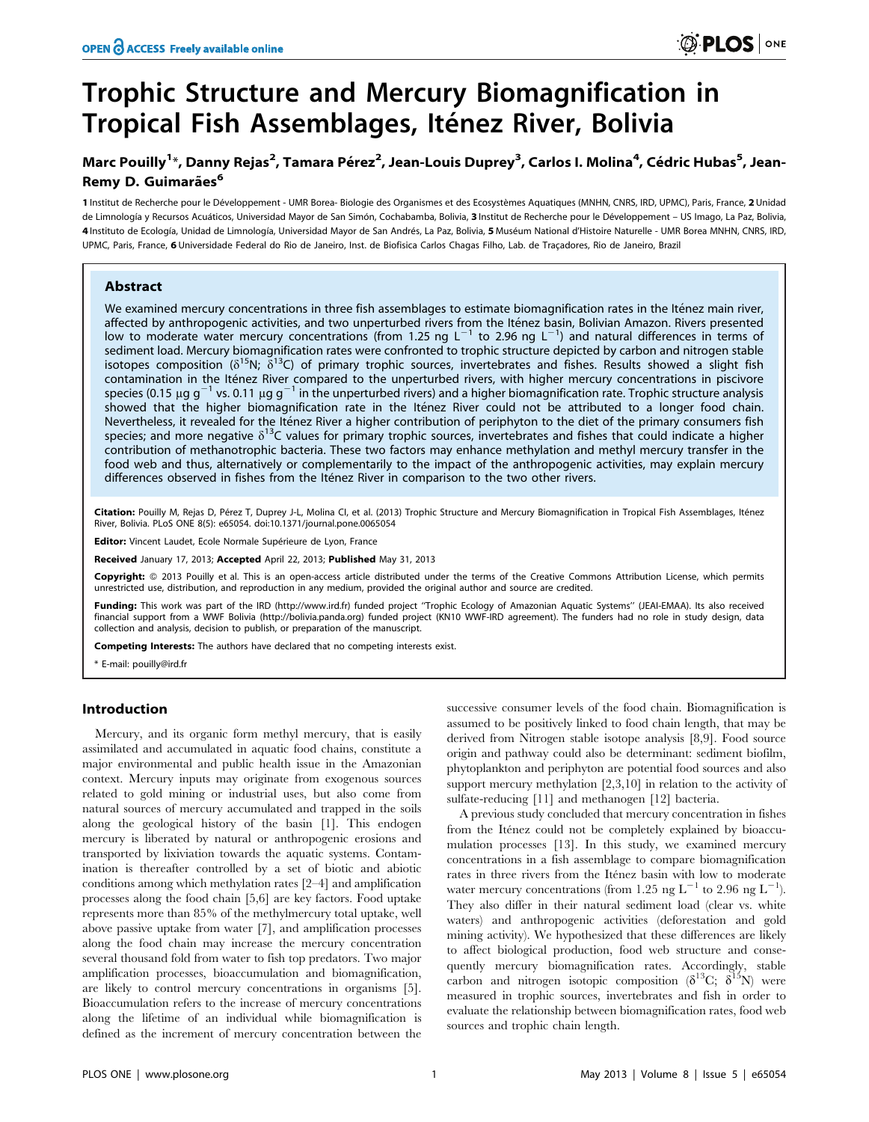# Trophic Structure and Mercury Biomagnification in Tropical Fish Assemblages, Iténez River, Bolivia

# Marc Pouilly<sup>1</sup>\*, Danny Rejas<sup>2</sup>, Tamara Pérez<sup>2</sup>, Jean-Louis Duprey<sup>3</sup>, Carlos I. Molina<sup>4</sup>, Cédric Hubas<sup>5</sup>, Jean-Remy D. Guimarães<sup>6</sup>

1 Institut de Recherche pour le Développement - UMR Borea- Biologie des Organismes et des Ecosystèmes Aquatiques (MNHN, CNRS, IRD, UPMC), Paris, France, 2 Unidad de Limnología y Recursos Acuáticos, Universidad Mayor de San Simón, Cochabamba, Bolivia, 3 Institut de Recherche pour le Développement – US Imago, La Paz, Bolivia, 4 Instituto de Ecología, Unidad de Limnología, Universidad Mayor de San Andrés, La Paz, Bolivia, 5 Muséum National d'Histoire Naturelle - UMR Borea MNHN, CNRS, IRD, UPMC, Paris, France, 6 Universidade Federal do Rio de Janeiro, Inst. de Biofisica Carlos Chagas Filho, Lab. de Traçadores, Rio de Janeiro, Brazil

# Abstract

We examined mercury concentrations in three fish assemblages to estimate biomagnification rates in the Iténez main river, affected by anthropogenic activities, and two unperturbed rivers from the Iténez basin, Bolivian Amazon. Rivers presented<br>low to moderate water mercury concentrations (from 1.25 ng L<sup>-1</sup> to 2.96 ng L<sup>-1</sup>) and natural diffe sediment load. Mercury biomagnification rates were confronted to trophic structure depicted by carbon and nitrogen stable isotopes composition  $(\delta^{15}N; \delta^{13}C)$  of primary trophic sources, invertebrates and fishes. Results showed a slight fish contamination in the Iténez River compared to the unperturbed rivers, with higher mercury concentrations in piscivore species (0.15  $\mu$ g g<sup>-1</sup> vs. 0.11  $\mu$ g g<sup>-1</sup> in the unperturbed rivers) and a higher biomagnification rate. Trophic structure analysis showed that the higher biomagnification rate in the Itenez River could not be attributed to a longer food chain. Nevertheless, it revealed for the Iténez River a higher contribution of periphyton to the diet of the primary consumers fish species; and more negative  $\delta^{13}$ C values for primary trophic sources, invertebrates and fishes that could indicate a higher contribution of methanotrophic bacteria. These two factors may enhance methylation and methyl mercury transfer in the food web and thus, alternatively or complementarily to the impact of the anthropogenic activities, may explain mercury differences observed in fishes from the Iténez River in comparison to the two other rivers.

Citation: Pouilly M, Rejas D, Pérez T, Duprey J-L, Molina CI, et al. (2013) Trophic Structure and Mercury Biomagnification in Tropical Fish Assemblages, Iténez River, Bolivia. PLoS ONE 8(5): e65054. doi:10.1371/journal.pone.0065054

Editor: Vincent Laudet, Ecole Normale Supérieure de Lyon, France

Received January 17, 2013; Accepted April 22, 2013; Published May 31, 2013

Copyright: © 2013 Pouilly et al. This is an open-access article distributed under the terms of the Creative Commons Attribution License, which permits unrestricted use, distribution, and reproduction in any medium, provided the original author and source are credited.

Funding: This work was part of the IRD (http://www.ird.fr) funded project "Trophic Ecology of Amazonian Aquatic Systems" (JEAI-EMAA). Its also received financial support from a WWF Bolivia (http://bolivia.panda.org) funded project (KN10 WWF-IRD agreement). The funders had no role in study design, data collection and analysis, decision to publish, or preparation of the manuscript.

Competing Interests: The authors have declared that no competing interests exist.

\* E-mail: pouilly@ird.fr

# Introduction

Mercury, and its organic form methyl mercury, that is easily assimilated and accumulated in aquatic food chains, constitute a major environmental and public health issue in the Amazonian context. Mercury inputs may originate from exogenous sources related to gold mining or industrial uses, but also come from natural sources of mercury accumulated and trapped in the soils along the geological history of the basin [1]. This endogen mercury is liberated by natural or anthropogenic erosions and transported by lixiviation towards the aquatic systems. Contamination is thereafter controlled by a set of biotic and abiotic conditions among which methylation rates [2–4] and amplification processes along the food chain [5,6] are key factors. Food uptake represents more than 85% of the methylmercury total uptake, well above passive uptake from water [7], and amplification processes along the food chain may increase the mercury concentration several thousand fold from water to fish top predators. Two major amplification processes, bioaccumulation and biomagnification, are likely to control mercury concentrations in organisms [5]. Bioaccumulation refers to the increase of mercury concentrations along the lifetime of an individual while biomagnification is defined as the increment of mercury concentration between the successive consumer levels of the food chain. Biomagnification is assumed to be positively linked to food chain length, that may be derived from Nitrogen stable isotope analysis [8,9]. Food source origin and pathway could also be determinant: sediment biofilm, phytoplankton and periphyton are potential food sources and also support mercury methylation [2,3,10] in relation to the activity of sulfate-reducing [11] and methanogen [12] bacteria.

A previous study concluded that mercury concentration in fishes from the Iténez could not be completely explained by bioaccumulation processes [13]. In this study, we examined mercury concentrations in a fish assemblage to compare biomagnification rates in three rivers from the Itenez basin with low to moderate water mercury concentrations (from 1.25 ng  $L^{-1}$  to 2.96 ng  $L^{-1}$ ). They also differ in their natural sediment load (clear vs. white waters) and anthropogenic activities (deforestation and gold mining activity). We hypothesized that these differences are likely to affect biological production, food web structure and consequently mercury biomagnification rates. Accordingly, stable carbon and nitrogen isotopic composition  $(\delta^{13}C; \delta^{15}N)$  were measured in trophic sources, invertebrates and fish in order to evaluate the relationship between biomagnification rates, food web sources and trophic chain length.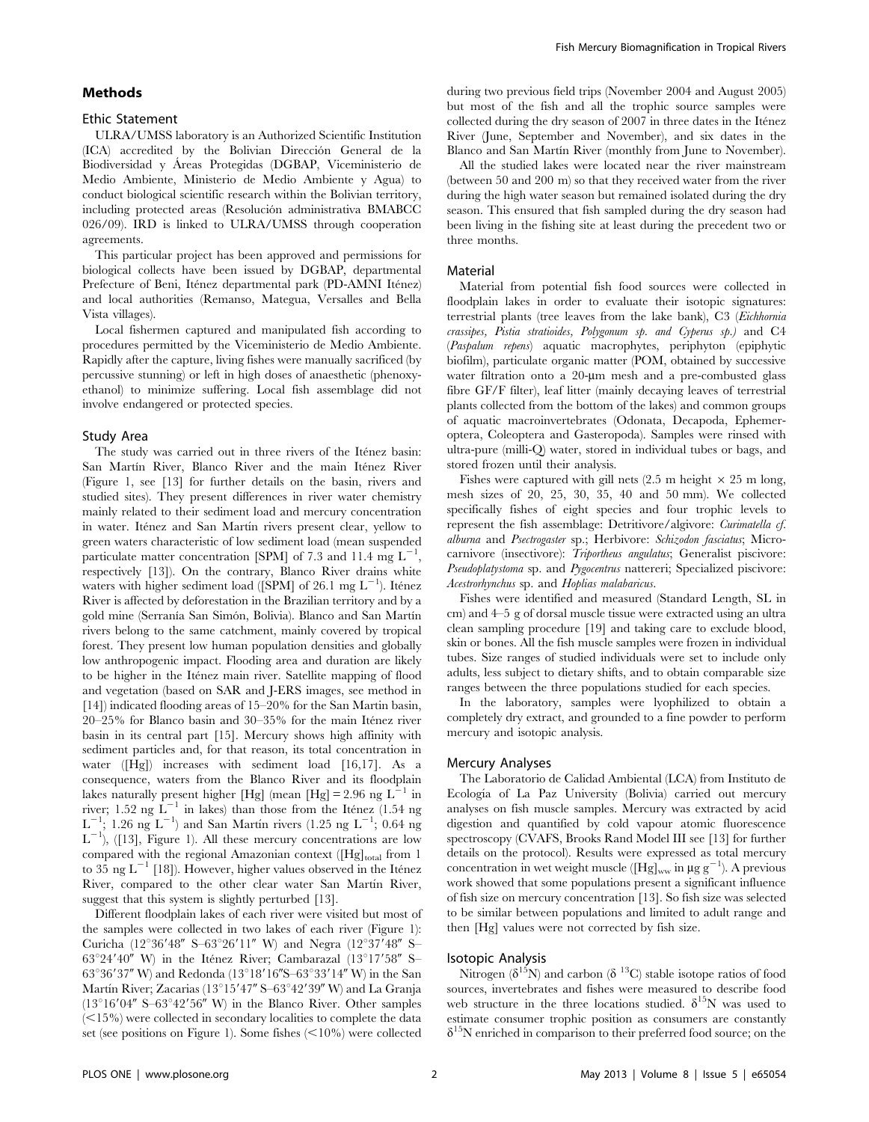# Methods

# Ethic Statement

ULRA/UMSS laboratory is an Authorized Scientific Institution (ICA) accredited by the Bolivian Dirección General de la Biodiversidad y Áreas Protegidas (DGBAP, Viceministerio de Medio Ambiente, Ministerio de Medio Ambiente y Agua) to conduct biological scientific research within the Bolivian territory, including protected areas (Resolución administrativa BMABCC 026/09). IRD is linked to ULRA/UMSS through cooperation agreements.

This particular project has been approved and permissions for biological collects have been issued by DGBAP, departmental Prefecture of Beni, Iténez departmental park (PD-AMNI Iténez) and local authorities (Remanso, Mategua, Versalles and Bella Vista villages).

Local fishermen captured and manipulated fish according to procedures permitted by the Viceministerio de Medio Ambiente. Rapidly after the capture, living fishes were manually sacrificed (by percussive stunning) or left in high doses of anaesthetic (phenoxyethanol) to minimize suffering. Local fish assemblage did not involve endangered or protected species.

#### Study Area

The study was carried out in three rivers of the Itenez basin: San Martín River, Blanco River and the main Iténez River (Figure 1, see [13] for further details on the basin, rivers and studied sites). They present differences in river water chemistry mainly related to their sediment load and mercury concentration in water. Iténez and San Martín rivers present clear, yellow to green waters characteristic of low sediment load (mean suspended particulate matter concentration [SPM] of 7.3 and 11.4 mg  $L^{-1}$ , respectively [13]). On the contrary, Blanco River drains white waters with higher sediment load ([SPM] of 26.1 mg  $L^{-1}$ ). Itenez River is affected by deforestation in the Brazilian territory and by a gold mine (Serranía San Simón, Bolivia). Blanco and San Martín rivers belong to the same catchment, mainly covered by tropical forest. They present low human population densities and globally low anthropogenic impact. Flooding area and duration are likely to be higher in the Itenez main river. Satellite mapping of flood and vegetation (based on SAR and J-ERS images, see method in [14]) indicated flooding areas of 15–20% for the San Martin basin,  $20-25%$  for Blanco basin and  $30-35%$  for the main Iténez river basin in its central part [15]. Mercury shows high affinity with sediment particles and, for that reason, its total concentration in water ([Hg]) increases with sediment load [16,17]. As a consequence, waters from the Blanco River and its floodplain lakes naturally present higher [Hg] (mean [Hg] = 2.96 ng  $L^{-1}$  in river; 1.52 ng  $\overline{L}^{-1}$  in lakes) than those from the Itenez (1.54 ng  $L^{-1}$ ; 1.26 ng  $L^{-1}$ ) and San Martín rivers (1.25 ng  $L^{-1}$ ; 0.64 ng  $L^{-1}$ ), ([13], Figure 1). All these mercury concentrations are low compared with the regional Amazonian context ( $[Hg]_{total}$  from 1 to 35 ng  $L^{-1}$  [18]). However, higher values observed in the Itenez River, compared to the other clear water San Martín River, suggest that this system is slightly perturbed [13].

Different floodplain lakes of each river were visited but most of the samples were collected in two lakes of each river (Figure 1): Curicha (12°36'48" S-63°26'11" W) and Negra (12°37'48" S-63°24'40" W) in the Itenez River; Cambarazal (13°17'58" S–  $63^{\circ}36'37''$  W) and Redonda (13°18'16"S–63°33'14" W) in the San Martín River; Zacarias (13°15'47" S–63°42'39" W) and La Granja  $(13^{\circ}16'04''$  S–63°42'56" W) in the Blanco River. Other samples  $(<15\%)$  were collected in secondary localities to complete the data set (see positions on Figure 1). Some fishes  $\leq 10\%$ ) were collected during two previous field trips (November 2004 and August 2005) but most of the fish and all the trophic source samples were collected during the dry season of 2007 in three dates in the Iténez River (June, September and November), and six dates in the Blanco and San Martín River (monthly from June to November).

All the studied lakes were located near the river mainstream (between 50 and 200 m) so that they received water from the river during the high water season but remained isolated during the dry season. This ensured that fish sampled during the dry season had been living in the fishing site at least during the precedent two or three months.

#### Material

Material from potential fish food sources were collected in floodplain lakes in order to evaluate their isotopic signatures: terrestrial plants (tree leaves from the lake bank), C3 (Eichhornia crassipes, Pistia stratioides, Polygonum sp. and Cyperus sp.) and C4 (Paspalum repens) aquatic macrophytes, periphyton (epiphytic biofilm), particulate organic matter (POM, obtained by successive water filtration onto a 20-um mesh and a pre-combusted glass fibre GF/F filter), leaf litter (mainly decaying leaves of terrestrial plants collected from the bottom of the lakes) and common groups of aquatic macroinvertebrates (Odonata, Decapoda, Ephemeroptera, Coleoptera and Gasteropoda). Samples were rinsed with ultra-pure (milli-Q) water, stored in individual tubes or bags, and stored frozen until their analysis.

Fishes were captured with gill nets  $(2.5 \text{ m} \text{ height} \times 25 \text{ m} \text{ long})$ , mesh sizes of 20, 25, 30, 35, 40 and 50 mm). We collected specifically fishes of eight species and four trophic levels to represent the fish assemblage: Detritivore/algivore: Curimatella cf. alburna and Psectrogaster sp.; Herbivore: Schizodon fasciatus; Microcarnivore (insectivore): Triportheus angulatus; Generalist piscivore: Pseudoplatystoma sp. and Pygocentrus nattereri; Specialized piscivore: Acestrorhynchus sp. and Hoplias malabaricus.

Fishes were identified and measured (Standard Length, SL in cm) and 4–5 g of dorsal muscle tissue were extracted using an ultra clean sampling procedure [19] and taking care to exclude blood, skin or bones. All the fish muscle samples were frozen in individual tubes. Size ranges of studied individuals were set to include only adults, less subject to dietary shifts, and to obtain comparable size ranges between the three populations studied for each species.

In the laboratory, samples were lyophilized to obtain a completely dry extract, and grounded to a fine powder to perform mercury and isotopic analysis.

#### Mercury Analyses

The Laboratorio de Calidad Ambiental (LCA) from Instituto de Ecología of La Paz University (Bolivia) carried out mercury analyses on fish muscle samples. Mercury was extracted by acid digestion and quantified by cold vapour atomic fluorescence spectroscopy (CVAFS, Brooks Rand Model III see [13] for further details on the protocol). Results were expressed as total mercury concentration in wet weight muscle ([Hg]<sub>ww</sub> in  $\mu$ g g<sup>-1</sup>). A previous work showed that some populations present a significant influence of fish size on mercury concentration [13]. So fish size was selected to be similar between populations and limited to adult range and then [Hg] values were not corrected by fish size.

#### Isotopic Analysis

Nitrogen ( $\delta^{15}$ N) and carbon ( $\delta^{13}$ C) stable isotope ratios of food sources, invertebrates and fishes were measured to describe food web structure in the three locations studied.  $\delta^{15}N$  was used to estimate consumer trophic position as consumers are constantly  $\delta^{15}$ N enriched in comparison to their preferred food source; on the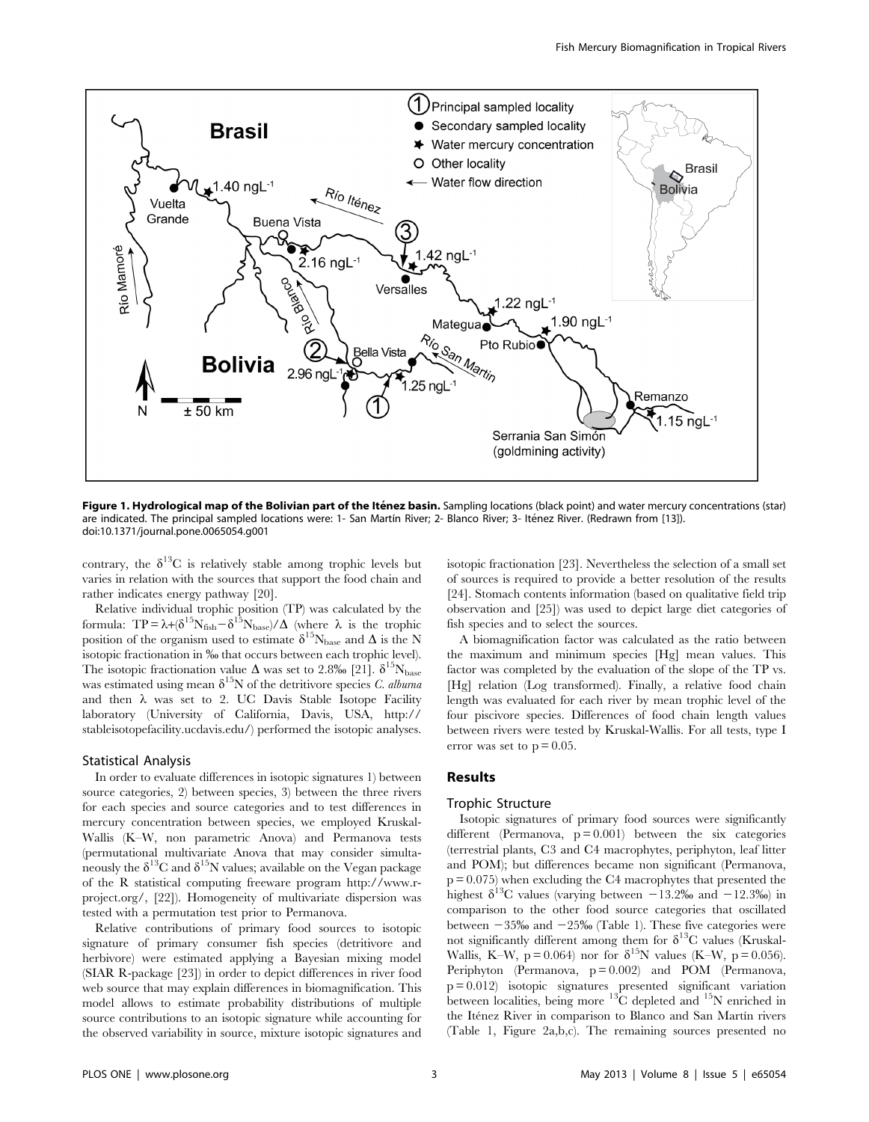

Figure 1. Hydrological map of the Bolivian part of the Iténez basin. Sampling locations (black point) and water mercury concentrations (star) are indicated. The principal sampled locations were: 1- San Martín River; 2- Blanco River; 3- Iténez River. (Redrawn from [13]). doi:10.1371/journal.pone.0065054.g001

contrary, the  $\delta^{13}$ C is relatively stable among trophic levels but varies in relation with the sources that support the food chain and rather indicates energy pathway [20].

Relative individual trophic position (TP) was calculated by the formula:  $TP = \lambda + (\delta^{15}N_{\rm fish} - \delta^{15}N_{\rm base})/\Delta$  (where  $\lambda$  is the trophic position of the organism used to estimate  $\delta^{15}N_{base}$  and  $\Delta$  is the N isotopic fractionation in ‰ that occurs between each trophic level). The isotopic fractionation value  $\Delta$  was set to 2.8% [21].  $\delta^{15}N_{\text{base}}$ was estimated using mean  $\delta^{15}N$  of the detritivore species C. albuma and then  $\lambda$  was set to 2. UC Davis Stable Isotope Facility laboratory (University of California, Davis, USA, http:// stableisotopefacility.ucdavis.edu/) performed the isotopic analyses.

#### Statistical Analysis

In order to evaluate differences in isotopic signatures 1) between source categories, 2) between species, 3) between the three rivers for each species and source categories and to test differences in mercury concentration between species, we employed Kruskal-Wallis (K–W, non parametric Anova) and Permanova tests (permutational multivariate Anova that may consider simultaneously the  $\delta^{13}C$  and  $\delta^{15}N$  values; available on the Vegan package of the R statistical computing freeware program http://www.rproject.org/, [22]). Homogeneity of multivariate dispersion was tested with a permutation test prior to Permanova.

Relative contributions of primary food sources to isotopic signature of primary consumer fish species (detritivore and herbivore) were estimated applying a Bayesian mixing model (SIAR R-package [23]) in order to depict differences in river food web source that may explain differences in biomagnification. This model allows to estimate probability distributions of multiple source contributions to an isotopic signature while accounting for the observed variability in source, mixture isotopic signatures and isotopic fractionation [23]. Nevertheless the selection of a small set of sources is required to provide a better resolution of the results [24]. Stomach contents information (based on qualitative field trip observation and [25]) was used to depict large diet categories of fish species and to select the sources.

A biomagnification factor was calculated as the ratio between the maximum and minimum species [Hg] mean values. This factor was completed by the evaluation of the slope of the TP vs. [Hg] relation (Log transformed). Finally, a relative food chain length was evaluated for each river by mean trophic level of the four piscivore species. Differences of food chain length values between rivers were tested by Kruskal-Wallis. For all tests, type I error was set to  $p = 0.05$ .

#### Results

# Trophic Structure

Isotopic signatures of primary food sources were significantly different (Permanova,  $p = 0.001$ ) between the six categories (terrestrial plants, C3 and C4 macrophytes, periphyton, leaf litter and POM); but differences became non significant (Permanova, p = 0.075) when excluding the C4 macrophytes that presented the highest  $\delta^{13}$ C values (varying between  $-13.2\%$  and  $-12.3\%$ ) in comparison to the other food source categories that oscillated between  $-35\%$  and  $-25\%$  (Table 1). These five categories were not significantly different among them for  $\delta^{13}$ C values (Kruskal-Wallis, K–W, p = 0.064) nor for  $\delta^{15}N$  values (K–W, p = 0.056). Periphyton (Permanova,  $p = 0.002$ ) and POM (Permanova,  $p = 0.012$ ) isotopic signatures presented significant variation between localities, being more  $^{13}$ C depleted and  $^{15}$ N enriched in the Itenez River in comparison to Blanco and San Martin rivers (Table 1, Figure 2a,b,c). The remaining sources presented no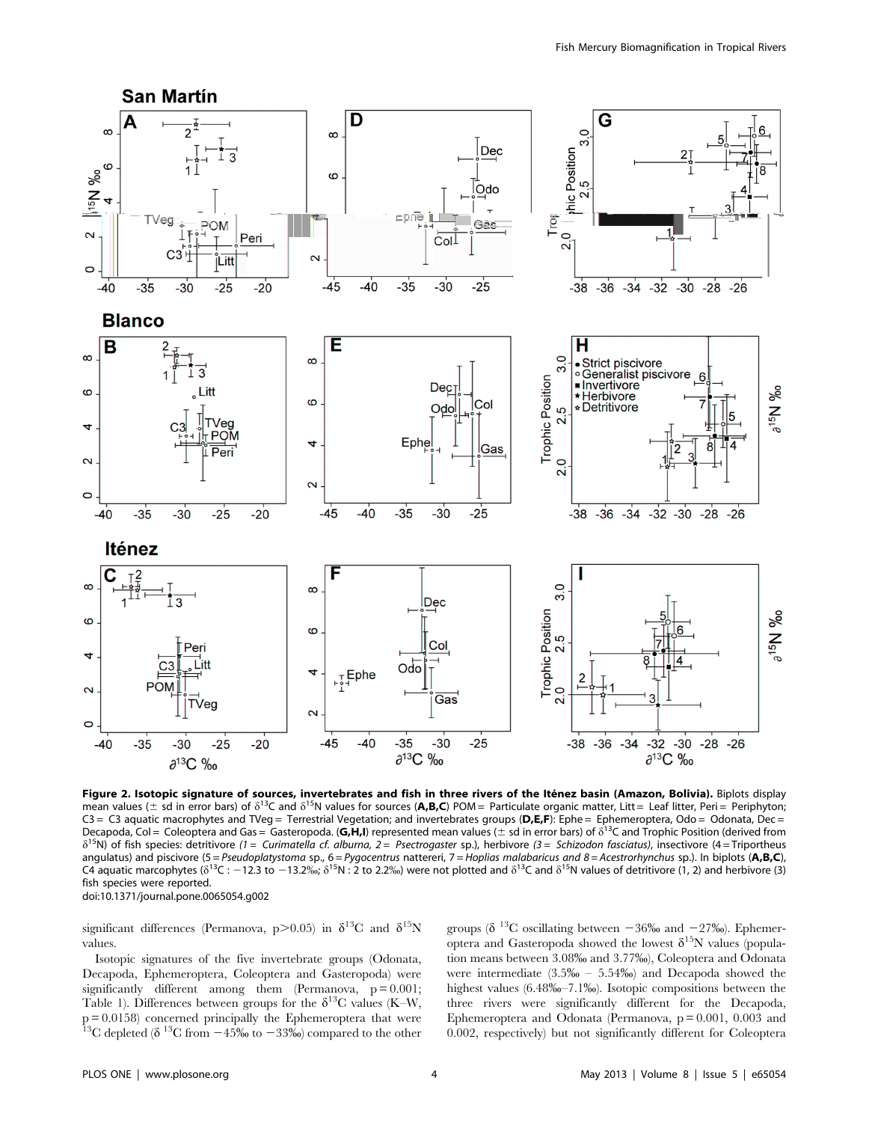

Figure 2. Isotopic signature of sources, invertebrates and fish in three rivers of the Iténez basin (Amazon, Bolivia). Biplots display mean values ( $\pm$  sd in error bars) of  $\delta^{13}$ C and  $\delta^{15}$ N values for sources (A,B,C) POM = Particulate organic matter, Litt = Leaf litter, Peri = Periphyton; C3 = C3 aquatic macrophytes and TVeg = Terrestrial Vegetation; and invertebrates groups (D,E,F): Ephe = Ephemeroptera, Odo = Odonata, Dec = Decapoda, Col = Coleoptera and Gas = Gasteropoda. (G,H,I) represented mean values ( $\pm$  sd in error bars) of  $\delta^{13}$ C and Trophic Position (derived from  $\delta^{15}$ N) of fish species: detritivore (1 = Curimatella cf. alburna, 2 = Psectrogaster sp.), herbivore (3 = Schizodon fasciatus), insectivore (4 = Triportheus angulatus) and piscivore (5 = Pseudoplatystoma sp., 6 = Pygocentrus nattereri, 7 = Hoplias malabaricus and 8 = Acestrorhynchus sp.). In biplots (A,B,C), C4 aquatic marcophytes ( $\delta^{13}C$  : -12.3 to -13.2‰;  $\delta^{15}N$  : 2 to 2.2‰) were not plotted and  $\delta^{13}C$  and  $\delta^{15}N$  values of detritivore (1, 2) and herbivore (3) fish species were reported. doi:10.1371/journal.pone.0065054.g002

significant differences (Permanova, p>0.05) in  $\delta^{13}C$  and  $\delta^{15}N$ values.

Isotopic signatures of the five invertebrate groups (Odonata, Decapoda, Ephemeroptera, Coleoptera and Gasteropoda) were significantly different among them (Permanova,  $p = 0.001$ ; Table 1). Differences between groups for the  $\delta^{13}C$  values (K–W, p = 0.0158) concerned principally the Ephemeroptera that were <sup>13</sup>C depleted ( $\delta$ <sup>13</sup>C from  $-45\%$  to  $-33\%$ ) compared to the other

groups ( $\delta$ <sup>13</sup>C oscillating between -36‰ and -27‰). Ephemeroptera and Gasteropoda showed the lowest  $\delta^{15}N$  values (population means between 3.08% and 3.77%), Coleoptera and Odonata were intermediate  $(3.5\% - 5.54\%)$  and Decapoda showed the highest values (6.48\%-7.1\%). Isotopic compositions between the three rivers were significantly different for the Decapoda, Ephemeroptera and Odonata (Permanova,  $p = 0.001$ , 0.003 and 0.002, respectively) but not significantly different for Coleoptera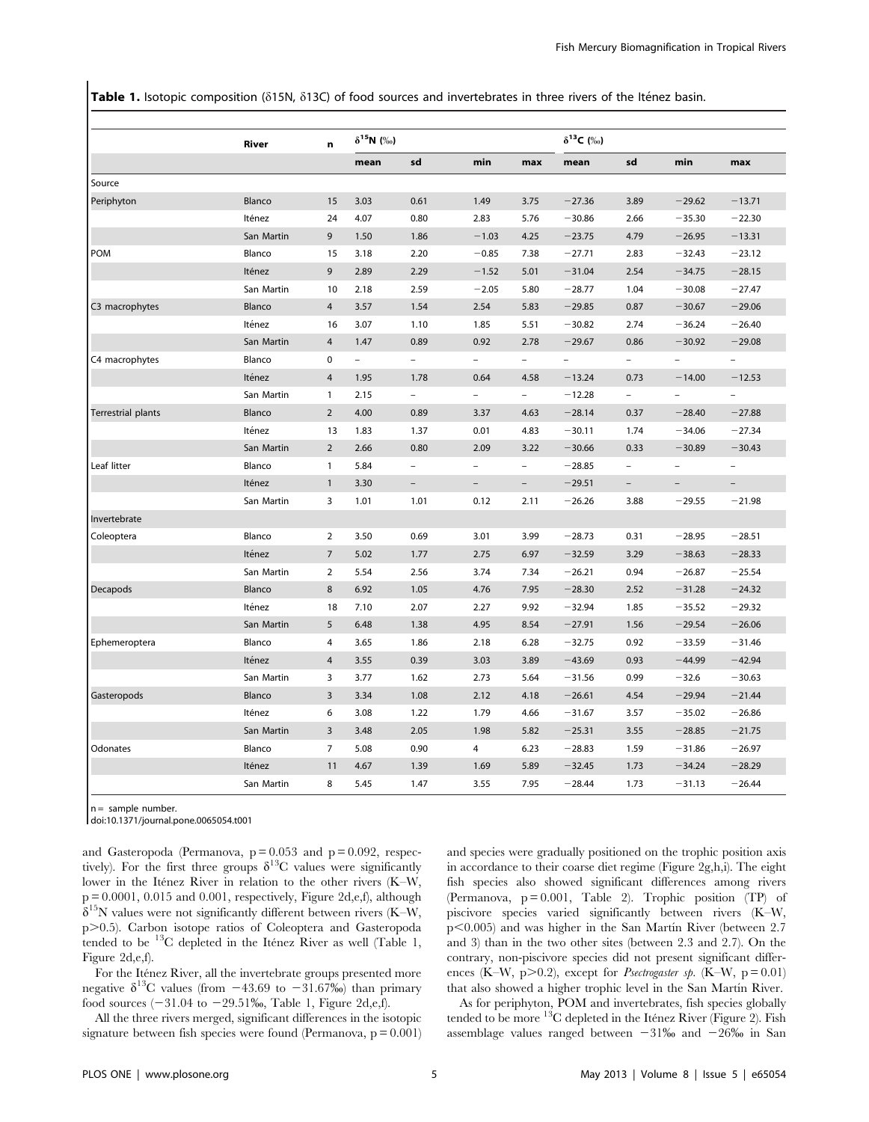Table 1. Isotopic composition (815N, 813C) of food sources and invertebrates in three rivers of the Iténez basin.

|                           | River      | n              | $\delta^{15}N$ (%) |                          |                          |                          | $\delta^{13}C$ (%) |      |                          |                          |  |
|---------------------------|------------|----------------|--------------------|--------------------------|--------------------------|--------------------------|--------------------|------|--------------------------|--------------------------|--|
|                           |            |                | mean               | sd                       | min                      | max                      | mean               | sd   | min                      | max                      |  |
| Source                    |            |                |                    |                          |                          |                          |                    |      |                          |                          |  |
| Periphyton                | Blanco     | 15             | 3.03               | 0.61                     | 1.49                     | 3.75                     | $-27.36$           | 3.89 | $-29.62$                 | $-13.71$                 |  |
|                           | Iténez     | 24             | 4.07               | 0.80                     | 2.83                     | 5.76                     | $-30.86$           | 2.66 | $-35.30$                 | $-22.30$                 |  |
|                           | San Martin | 9              | 1.50               | 1.86                     | $-1.03$                  | 4.25                     | $-23.75$           | 4.79 | $-26.95$                 | $-13.31$                 |  |
| <b>POM</b>                | Blanco     | 15             | 3.18               | 2.20                     | $-0.85$                  | 7.38                     | $-27.71$           | 2.83 | $-32.43$                 | $-23.12$                 |  |
|                           | Iténez     | 9              | 2.89               | 2.29                     | $-1.52$                  | 5.01                     | $-31.04$           | 2.54 | $-34.75$                 | $-28.15$                 |  |
|                           | San Martin | 10             | 2.18               | 2.59                     | $-2.05$                  | 5.80                     | $-28.77$           | 1.04 | $-30.08$                 | $-27.47$                 |  |
| C3 macrophytes            | Blanco     | $\overline{4}$ | 3.57               | 1.54                     | 2.54                     | 5.83                     | $-29.85$           | 0.87 | $-30.67$                 | $-29.06$                 |  |
|                           | Iténez     | 16             | 3.07               | 1.10                     | 1.85                     | 5.51                     | $-30.82$           | 2.74 | $-36.24$                 | $-26.40$                 |  |
|                           | San Martin | 4              | 1.47               | 0.89                     | 0.92                     | 2.78                     | $-29.67$           | 0.86 | $-30.92$                 | $-29.08$                 |  |
| C4 macrophytes            | Blanco     | 0              | $\overline{a}$     | $\equiv$                 | $\overline{\phantom{0}}$ | $ \,$                    | $=$                | $-$  | $\overline{\phantom{0}}$ | $\overline{\phantom{0}}$ |  |
|                           | Iténez     | $\overline{4}$ | 1.95               | 1.78                     | 0.64                     | 4.58                     | $-13.24$           | 0.73 | $-14.00$                 | $-12.53$                 |  |
|                           | San Martin | $\mathbf{1}$   | 2.15               | $\equiv$                 | $\overline{\phantom{a}}$ | $\overline{\phantom{0}}$ | $-12.28$           | $-$  | $\qquad \qquad -$        | $\overline{\phantom{a}}$ |  |
| <b>Terrestrial plants</b> | Blanco     | $\overline{2}$ | 4.00               | 0.89                     | 3.37                     | 4.63                     | $-28.14$           | 0.37 | $-28.40$                 | $-27.88$                 |  |
|                           | Iténez     | 13             | 1.83               | 1.37                     | 0.01                     | 4.83                     | $-30.11$           | 1.74 | $-34.06$                 | $-27.34$                 |  |
|                           | San Martin | $\overline{2}$ | 2.66               | 0.80                     | 2.09                     | 3.22                     | $-30.66$           | 0.33 | $-30.89$                 | $-30.43$                 |  |
| Leaf litter               | Blanco     | $\mathbf{1}$   | 5.84               | $\overline{\phantom{a}}$ | $\qquad \qquad -$        | $\overline{\phantom{a}}$ | $-28.85$           |      |                          |                          |  |
|                           | Iténez     | $\mathbf{1}$   | 3.30               |                          | $\overline{\phantom{a}}$ | $\overline{\phantom{a}}$ | $-29.51$           |      | $\overline{\phantom{0}}$ | $\overline{\phantom{a}}$ |  |
|                           | San Martin | 3              | 1.01               | 1.01                     | 0.12                     | 2.11                     | $-26.26$           | 3.88 | $-29.55$                 | $-21.98$                 |  |
| Invertebrate              |            |                |                    |                          |                          |                          |                    |      |                          |                          |  |
| Coleoptera                | Blanco     | 2              | 3.50               | 0.69                     | 3.01                     | 3.99                     | $-28.73$           | 0.31 | $-28.95$                 | $-28.51$                 |  |
|                           | Iténez     | $\overline{7}$ | 5.02               | 1.77                     | 2.75                     | 6.97                     | $-32.59$           | 3.29 | $-38.63$                 | $-28.33$                 |  |
|                           | San Martin | 2              | 5.54               | 2.56                     | 3.74                     | 7.34                     | $-26.21$           | 0.94 | $-26.87$                 | $-25.54$                 |  |
| <b>Decapods</b>           | Blanco     | 8              | 6.92               | 1.05                     | 4.76                     | 7.95                     | $-28.30$           | 2.52 | $-31.28$                 | $-24.32$                 |  |
|                           | Iténez     | 18             | 7.10               | 2.07                     | 2.27                     | 9.92                     | $-32.94$           | 1.85 | $-35.52$                 | $-29.32$                 |  |
|                           | San Martin | 5              | 6.48               | 1.38                     | 4.95                     | 8.54                     | $-27.91$           | 1.56 | $-29.54$                 | $-26.06$                 |  |
| Ephemeroptera             | Blanco     | 4              | 3.65               | 1.86                     | 2.18                     | 6.28                     | $-32.75$           | 0.92 | $-33.59$                 | $-31.46$                 |  |
|                           | Iténez     | $\overline{4}$ | 3.55               | 0.39                     | 3.03                     | 3.89                     | $-43.69$           | 0.93 | $-44.99$                 | $-42.94$                 |  |
|                           | San Martin | 3              | 3.77               | 1.62                     | 2.73                     | 5.64                     | $-31.56$           | 0.99 | $-32.6$                  | $-30.63$                 |  |
| Gasteropods               | Blanco     | 3              | 3.34               | 1.08                     | 2.12                     | 4.18                     | $-26.61$           | 4.54 | $-29.94$                 | $-21.44$                 |  |
|                           | Iténez     | 6              | 3.08               | 1.22                     | 1.79                     | 4.66                     | $-31.67$           | 3.57 | $-35.02$                 | $-26.86$                 |  |
|                           | San Martin | 3              | 3.48               | 2.05                     | 1.98                     | 5.82                     | $-25.31$           | 3.55 | $-28.85$                 | $-21.75$                 |  |
| <b>Odonates</b>           | Blanco     | 7              | 5.08               | 0.90                     | 4                        | 6.23                     | $-28.83$           | 1.59 | $-31.86$                 | $-26.97$                 |  |
|                           | Iténez     | 11             | 4.67               | 1.39                     | 1.69                     | 5.89                     | $-32.45$           | 1.73 | $-34.24$                 | $-28.29$                 |  |
|                           | San Martin | 8              | 5.45               | 1.47                     | 3.55                     | 7.95                     | $-28.44$           | 1.73 | $-31.13$                 | $-26.44$                 |  |

 $n =$  sample number.

doi:10.1371/journal.pone.0065054.t001

and Gasteropoda (Permanova,  $p = 0.053$  and  $p = 0.092$ , respectively). For the first three groups  $\delta^{13}$ C values were significantly lower in the Itenez River in relation to the other rivers (K–W,  $p = 0.0001$ , 0.015 and 0.001, respectively, Figure 2d,e,f), although  $\delta^{15}$ N values were not significantly different between rivers (K–W, p.0.5). Carbon isotope ratios of Coleoptera and Gasteropoda tended to be  $^{13}$ C depleted in the Itenez River as well (Table 1, Figure 2d,e,f).

For the Iténez River, all the invertebrate groups presented more negative  $\delta^{13}$ C values (from  $-43.69$  to  $-31.67\%$ ) than primary food sources  $(-31.04$  to  $-29.51\%$ , Table 1, Figure 2d,e,f).

All the three rivers merged, significant differences in the isotopic signature between fish species were found (Permanova,  $p = 0.001$ ) and species were gradually positioned on the trophic position axis in accordance to their coarse diet regime (Figure 2g,h,i). The eight fish species also showed significant differences among rivers (Permanova,  $p = 0.001$ , Table 2). Trophic position (TP) of piscivore species varied significantly between rivers (K–W,  $p<0.005$ ) and was higher in the San Martín River (between 2.7 and 3) than in the two other sites (between 2.3 and 2.7). On the contrary, non-piscivore species did not present significant differences (K–W, p $> 0.2$ ), except for *Psectrogaster sp.* (K–W, p=0.01) that also showed a higher trophic level in the San Martín River.

As for periphyton, POM and invertebrates, fish species globally tended to be more  $^{13}$ C depleted in the Itenez River (Figure 2). Fish assemblage values ranged between  $-31\%$  and  $-26\%$  in San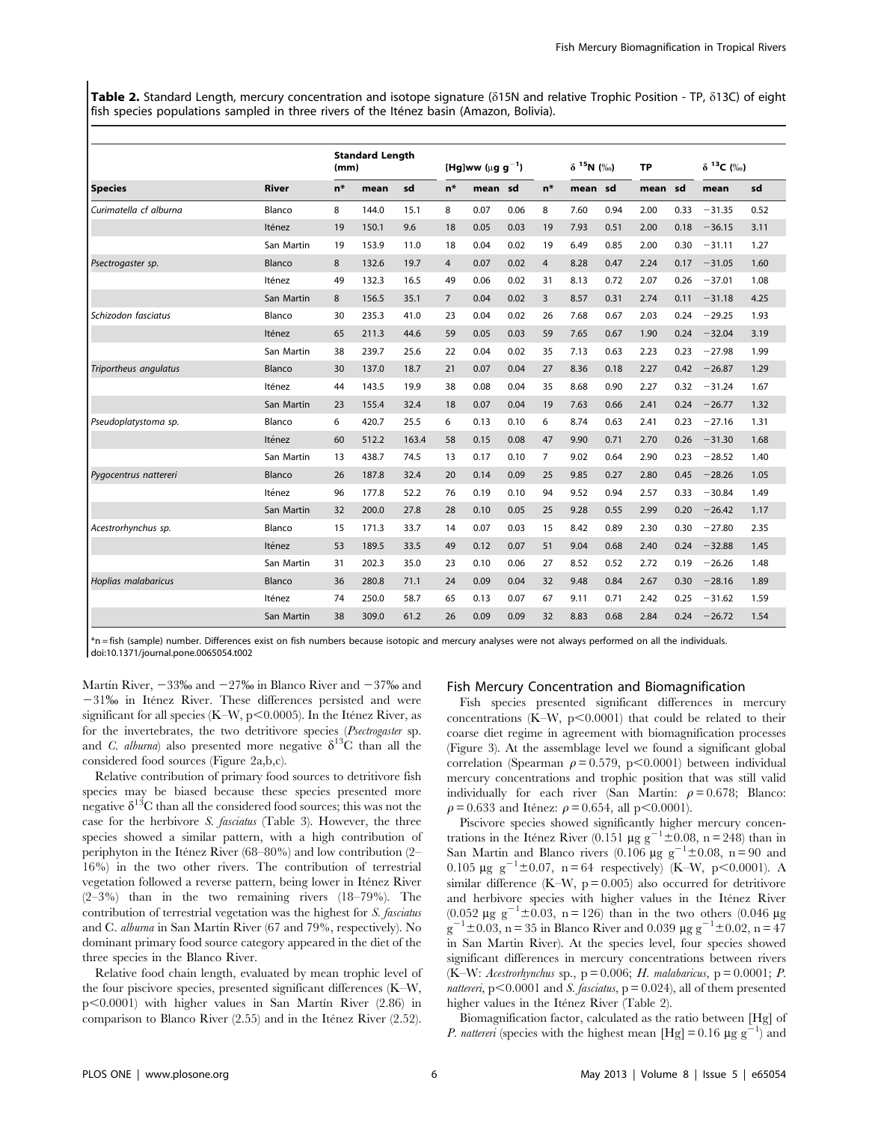Table 2. Standard Length, mercury concentration and isotope signature ( $\delta$ 15N and relative Trophic Position - TP,  $\delta$ 13C) of eight fish species populations sampled in three rivers of the Iténez basin (Amazon, Bolivia).

|                        | <b>River</b> | <b>Standard Length</b><br>(mm) |       | [Hg]ww ( $\mu$ g g <sup>-1</sup> ) |                |         | $\delta$ <sup>15</sup> N (%) |                | <b>TP</b> |      | $\delta$ <sup>13</sup> C (%) |      |          |      |
|------------------------|--------------|--------------------------------|-------|------------------------------------|----------------|---------|------------------------------|----------------|-----------|------|------------------------------|------|----------|------|
| <b>Species</b>         |              | $n*$                           | mean  | sd                                 | $n*$           | mean sd |                              | $n*$           | mean sd   |      | mean sd                      |      | mean     | sd   |
| Curimatella cf alburna | Blanco       | 8                              | 144.0 | 15.1                               | 8              | 0.07    | 0.06                         | 8              | 7.60      | 0.94 | 2.00                         | 0.33 | $-31.35$ | 0.52 |
|                        | Iténez       | 19                             | 150.1 | 9.6                                | 18             | 0.05    | 0.03                         | 19             | 7.93      | 0.51 | 2.00                         | 0.18 | $-36.15$ | 3.11 |
|                        | San Martin   | 19                             | 153.9 | 11.0                               | 18             | 0.04    | 0.02                         | 19             | 6.49      | 0.85 | 2.00                         | 0.30 | $-31.11$ | 1.27 |
| Psectrogaster sp.      | Blanco       | 8                              | 132.6 | 19.7                               | $\overline{4}$ | 0.07    | 0.02                         | $\overline{4}$ | 8.28      | 0.47 | 2.24                         | 0.17 | $-31.05$ | 1.60 |
|                        | Iténez       | 49                             | 132.3 | 16.5                               | 49             | 0.06    | 0.02                         | 31             | 8.13      | 0.72 | 2.07                         | 0.26 | $-37.01$ | 1.08 |
|                        | San Martin   | 8                              | 156.5 | 35.1                               | $\overline{7}$ | 0.04    | 0.02                         | 3              | 8.57      | 0.31 | 2.74                         | 0.11 | $-31.18$ | 4.25 |
| Schizodon fasciatus    | Blanco       | 30                             | 235.3 | 41.0                               | 23             | 0.04    | 0.02                         | 26             | 7.68      | 0.67 | 2.03                         | 0.24 | $-29.25$ | 1.93 |
|                        | Iténez       | 65                             | 211.3 | 44.6                               | 59             | 0.05    | 0.03                         | 59             | 7.65      | 0.67 | 1.90                         | 0.24 | $-32.04$ | 3.19 |
|                        | San Martin   | 38                             | 239.7 | 25.6                               | 22             | 0.04    | 0.02                         | 35             | 7.13      | 0.63 | 2.23                         | 0.23 | $-27.98$ | 1.99 |
| Triportheus angulatus  | Blanco       | 30                             | 137.0 | 18.7                               | 21             | 0.07    | 0.04                         | 27             | 8.36      | 0.18 | 2.27                         | 0.42 | $-26.87$ | 1.29 |
|                        | Iténez       | 44                             | 143.5 | 19.9                               | 38             | 0.08    | 0.04                         | 35             | 8.68      | 0.90 | 2.27                         | 0.32 | $-31.24$ | 1.67 |
|                        | San Martin   | 23                             | 155.4 | 32.4                               | 18             | 0.07    | 0.04                         | 19             | 7.63      | 0.66 | 2.41                         | 0.24 | $-26.77$ | 1.32 |
| Pseudoplatystoma sp.   | Blanco       | 6                              | 420.7 | 25.5                               | 6              | 0.13    | 0.10                         | 6              | 8.74      | 0.63 | 2.41                         | 0.23 | $-27.16$ | 1.31 |
|                        | Iténez       | 60                             | 512.2 | 163.4                              | 58             | 0.15    | 0.08                         | 47             | 9.90      | 0.71 | 2.70                         | 0.26 | $-31.30$ | 1.68 |
|                        | San Martin   | 13                             | 438.7 | 74.5                               | 13             | 0.17    | 0.10                         | $\overline{7}$ | 9.02      | 0.64 | 2.90                         | 0.23 | $-28.52$ | 1.40 |
| Pygocentrus nattereri  | Blanco       | 26                             | 187.8 | 32.4                               | 20             | 0.14    | 0.09                         | 25             | 9.85      | 0.27 | 2.80                         | 0.45 | $-28.26$ | 1.05 |
|                        | Iténez       | 96                             | 177.8 | 52.2                               | 76             | 0.19    | 0.10                         | 94             | 9.52      | 0.94 | 2.57                         | 0.33 | $-30.84$ | 1.49 |
|                        | San Martin   | 32                             | 200.0 | 27.8                               | 28             | 0.10    | 0.05                         | 25             | 9.28      | 0.55 | 2.99                         | 0.20 | $-26.42$ | 1.17 |
| Acestrorhynchus sp.    | Blanco       | 15                             | 171.3 | 33.7                               | 14             | 0.07    | 0.03                         | 15             | 8.42      | 0.89 | 2.30                         | 0.30 | $-27.80$ | 2.35 |
|                        | Iténez       | 53                             | 189.5 | 33.5                               | 49             | 0.12    | 0.07                         | 51             | 9.04      | 0.68 | 2.40                         | 0.24 | $-32.88$ | 1.45 |
|                        | San Martin   | 31                             | 202.3 | 35.0                               | 23             | 0.10    | 0.06                         | 27             | 8.52      | 0.52 | 2.72                         | 0.19 | $-26.26$ | 1.48 |
| Hoplias malabaricus    | Blanco       | 36                             | 280.8 | 71.1                               | 24             | 0.09    | 0.04                         | 32             | 9.48      | 0.84 | 2.67                         | 0.30 | $-28.16$ | 1.89 |
|                        | Iténez       | 74                             | 250.0 | 58.7                               | 65             | 0.13    | 0.07                         | 67             | 9.11      | 0.71 | 2.42                         | 0.25 | $-31.62$ | 1.59 |
|                        | San Martin   | 38                             | 309.0 | 61.2                               | 26             | 0.09    | 0.09                         | 32             | 8.83      | 0.68 | 2.84                         | 0.24 | $-26.72$ | 1.54 |

\*n = fish (sample) number. Differences exist on fish numbers because isotopic and mercury analyses were not always performed on all the individuals. doi:10.1371/journal.pone.0065054.t002

Martin River,  $-33\%$  and  $-27\%$  in Blanco River and  $-37\%$  and  $-31\%$  in Itenez River. These differences persisted and were significant for all species (K–W,  $p<0.0005$ ). In the Itenez River, as for the invertebrates, the two detritivore species (Psectrogaster sp. and C. alburna) also presented more negative  $\delta^{13}$ C than all the considered food sources (Figure 2a,b,c).

Relative contribution of primary food sources to detritivore fish species may be biased because these species presented more negative  $\delta^{13}$ C than all the considered food sources; this was not the case for the herbivore S. fasciatus (Table 3). However, the three species showed a similar pattern, with a high contribution of periphyton in the Itenez River (68–80%) and low contribution (2– 16%) in the two other rivers. The contribution of terrestrial vegetation followed a reverse pattern, being lower in Iténez River (2–3%) than in the two remaining rivers (18–79%). The contribution of terrestrial vegetation was the highest for S. fasciatus and C. *alburna* in San Martín River  $(67 \text{ and } 79\%$ , respectively). No dominant primary food source category appeared in the diet of the three species in the Blanco River.

Relative food chain length, evaluated by mean trophic level of the four piscivore species, presented significant differences (K–W,  $p<0.0001$ ) with higher values in San Martín River (2.86) in comparison to Blanco River  $(2.55)$  and in the Itenez River  $(2.52)$ .

# Fish Mercury Concentration and Biomagnification

Fish species presented significant differences in mercury concentrations (K–W,  $p<0.0001$ ) that could be related to their coarse diet regime in agreement with biomagnification processes (Figure 3). At the assemblage level we found a significant global correlation (Spearman  $\rho = 0.579$ , p $< 0.0001$ ) between individual mercury concentrations and trophic position that was still valid individually for each river (San Martín:  $\rho = 0.678$ ; Blanco:  $\rho = 0.633$  and Itenez:  $\rho = 0.654$ , all p $\leq 0.0001$ ).

Piscivore species showed significantly higher mercury concentrations in the Itenez River (0.151 µg g<sup>-1</sup>±0.08, n = 248) than in San Martin and Blanco rivers (0.106 µg  $g^{-1} \pm 0.08$ , n = 90 and 0.105  $\mu$ g g<sup>-1</sup>±0.07, n = 64 respectively) (K–W, p<0.0001). A similar difference (K–W,  $p = 0.005$ ) also occurred for detritivore and herbivore species with higher values in the Iténez River (0.052  $\mu$ g g<sup>-1</sup>±0.03, n = 126) than in the two others (0.046  $\mu$ g  $g^{-1} \pm 0.03$ , n = 35 in Blanco River and 0.039  $\mu$ g g<sup>-1</sup> $\pm$ 0.02, n = 47 in San Martin River). At the species level, four species showed significant differences in mercury concentrations between rivers (K–W: Acestrorhynchus sp.,  $p = 0.006$ ; H. malabaricus,  $p = 0.0001$ ; P. nattereri, p $<$ 0.0001 and S. fasciatus, p = 0.024), all of them presented higher values in the Iténez River (Table 2).

Biomagnification factor, calculated as the ratio between [Hg] of *P. nattereri* (species with the highest mean [Hg] = 0.16  $\mu$ g g<sup>-1</sup>) and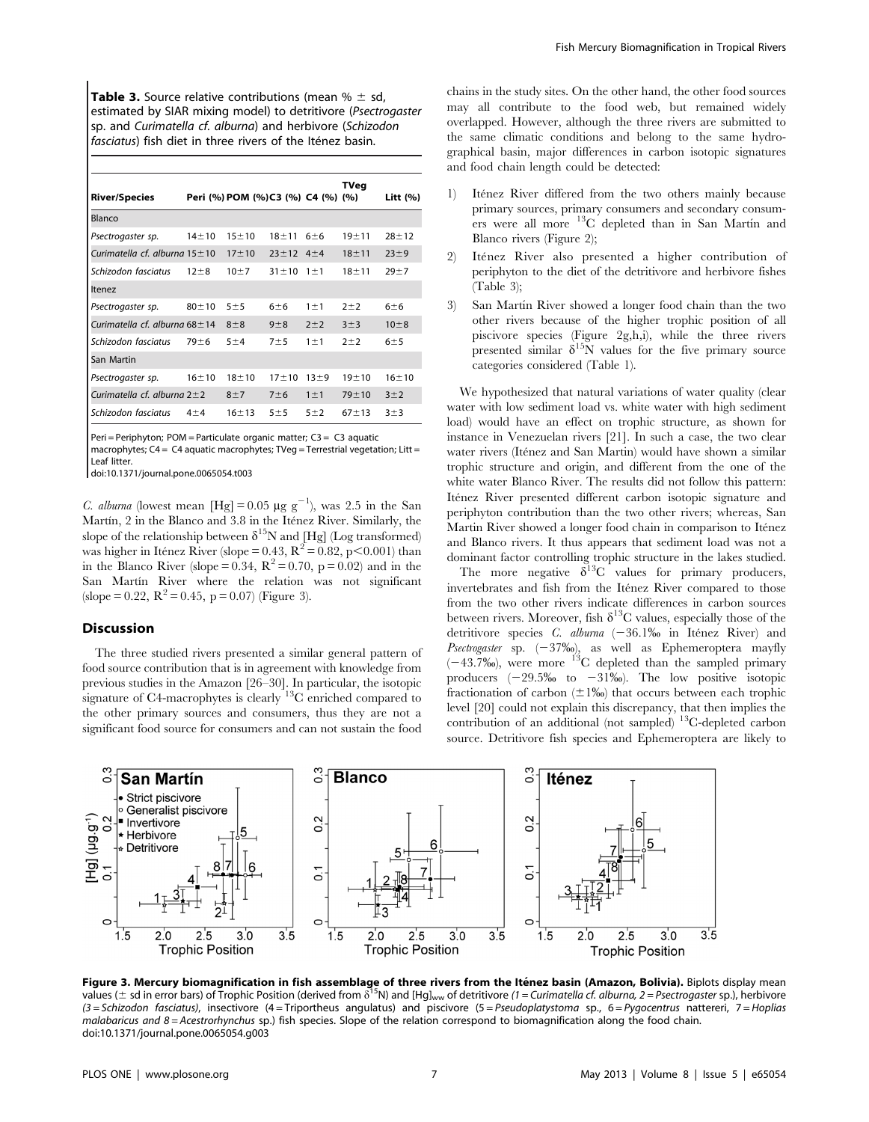**Table 3.** Source relative contributions (mean  $% \pm$  sd, estimated by SIAR mixing model) to detritivore (Psectrogaster sp. and Curimatella cf. alburna) and herbivore (Schizodon fasciatus) fish diet in three rivers of the Iténez basin.

| <b>River/Species</b>                |           | Peri (%) POM (%)C3 (%) C4 (%) (%) |             |            | TVeg      | Litt (%)  |
|-------------------------------------|-----------|-----------------------------------|-------------|------------|-----------|-----------|
| Blanco                              |           |                                   |             |            |           |           |
| Psectrogaster sp.                   | $14 + 10$ | $15 + 10$                         | $18 + 11$   | 6±6        | $19 + 11$ | $28 + 12$ |
| Curimatella cf. alburna $15 \pm 10$ |           | $17 + 10$                         | $23 \pm 12$ | $4 + 4$    | $18 + 11$ | $23 + 9$  |
| Schizodon fasciatus                 | $12 + 8$  | $10 \pm 7$                        | $31 \pm 10$ | $1 \pm 1$  | $18 + 11$ | $29 + 7$  |
| Itenez                              |           |                                   |             |            |           |           |
| Psectrogaster sp.                   | $80 + 10$ | $5 \pm 5$                         | 6±6         | $1 \pm 1$  | $2 + 2$   | 6±6       |
| Curimatella cf. alburna $68 \pm 14$ |           | $8\pm8$                           | $9\pm8$     | $2 + 2$    | 3±3       | $10 + 8$  |
| Schizodon fasciatus                 | $79 + 6$  | 5±4                               | 7±5         | $1 \pm 1$  | $2 + 2$   | 6±5       |
| San Martin                          |           |                                   |             |            |           |           |
| Psectrogaster sp.                   | $16 + 10$ | $18 + 10$                         | $17 + 10$   | $13 \pm 9$ | $19 + 10$ | $16 + 10$ |
| Curimatella cf. alburna $2\pm 2$    |           | $8+7$                             | 7±6         | $1 \pm 1$  | $79 + 10$ | 3±2       |
| Schizodon fasciatus                 | $4\pm4$   | $16 + 13$                         | 5±5         | 5±2        | $67 + 13$ | $3 + 3$   |

Peri = Periphyton; POM = Particulate organic matter; C3 = C3 aquatic

macrophytes; C4 = C4 aquatic macrophytes; TVeg = Terrestrial vegetation; Litt = Leaf litter.

doi:10.1371/journal.pone.0065054.t003

C. alburna (lowest mean [Hg] = 0.05  $\mu$ g g<sup>-1</sup>), was 2.5 in the San Martín, 2 in the Blanco and 3.8 in the Iténez River. Similarly, the slope of the relationship between  $\delta^{15}N$  and [Hg] (Log transformed) was higher in Itenez River (slope = 0.43,  $R^2 = 0.82$ , p $\leq 0.001$ ) than in the Blanco River (slope = 0.34,  $\mathbb{R}^2$  = 0.70, p = 0.02) and in the San Martín River where the relation was not significant (slope = 0.22,  $R^2 = 0.45$ , p = 0.07) (Figure 3).

## Discussion

The three studied rivers presented a similar general pattern of food source contribution that is in agreement with knowledge from previous studies in the Amazon [26–30]. In particular, the isotopic signature of C4-macrophytes is clearly <sup>13</sup>C enriched compared to the other primary sources and consumers, thus they are not a significant food source for consumers and can not sustain the food

chains in the study sites. On the other hand, the other food sources may all contribute to the food web, but remained widely overlapped. However, although the three rivers are submitted to the same climatic conditions and belong to the same hydrographical basin, major differences in carbon isotopic signatures and food chain length could be detected:

- 1) Iténez River differed from the two others mainly because primary sources, primary consumers and secondary consumers were all more  $^{13}$ C depleted than in San Martin and Blanco rivers (Figure 2);
- 2) Iténez River also presented a higher contribution of periphyton to the diet of the detritivore and herbivore fishes (Table 3);
- 3) San Martín River showed a longer food chain than the two other rivers because of the higher trophic position of all piscivore species (Figure 2g,h,i), while the three rivers presented similar  $\delta^{15}$ N values for the five primary source categories considered (Table 1).

We hypothesized that natural variations of water quality (clear water with low sediment load vs. white water with high sediment load) would have an effect on trophic structure, as shown for instance in Venezuelan rivers [21]. In such a case, the two clear water rivers (Iténez and San Martin) would have shown a similar trophic structure and origin, and different from the one of the white water Blanco River. The results did not follow this pattern: Iténez River presented different carbon isotopic signature and periphyton contribution than the two other rivers; whereas, San Martin River showed a longer food chain in comparison to Iténez and Blanco rivers. It thus appears that sediment load was not a dominant factor controlling trophic structure in the lakes studied.

The more negative  $\delta^{13}C$  values for primary producers, invertebrates and fish from the Itenez River compared to those from the two other rivers indicate differences in carbon sources between rivers. Moreover, fish  $\delta^{13}$ C values, especially those of the detritivore species C. alburna  $(-36.1\%$  in Iténez River) and Psectrogaster sp.  $(-37\%)$ , as well as Ephemeroptera mayfly  $(-43.7\%)$ , were more <sup>13</sup>C depleted than the sampled primary producers  $(-29.5\% \text{ to } -31\%)$ . The low positive isotopic fractionation of carbon  $(\pm 1\%)$  that occurs between each trophic level [20] could not explain this discrepancy, that then implies the contribution of an additional (not sampled) <sup>13</sup>C-depleted carbon source. Detritivore fish species and Ephemeroptera are likely to



Figure 3. Mercury biomagnification in fish assemblage of three rivers from the Iténez basin (Amazon, Bolivia). Biplots display mean values ( $\pm$  sd in error bars) of Trophic Position (derived from  $\delta^{15}N$ ) and [Hg]<sub>ww</sub> of detritivore (1 = Curimatella cf. alburna, 2 = Psectrogaster sp.), herbivore (3 = Schizodon fasciatus), insectivore (4 = Triportheus angulatus) and piscivore (5 = Pseudoplatystoma sp., 6 = Pygocentrus nattereri, 7 = Hoplias malabaricus and 8 = Acestrorhynchus sp.) fish species. Slope of the relation correspond to biomagnification along the food chain. doi:10.1371/journal.pone.0065054.g003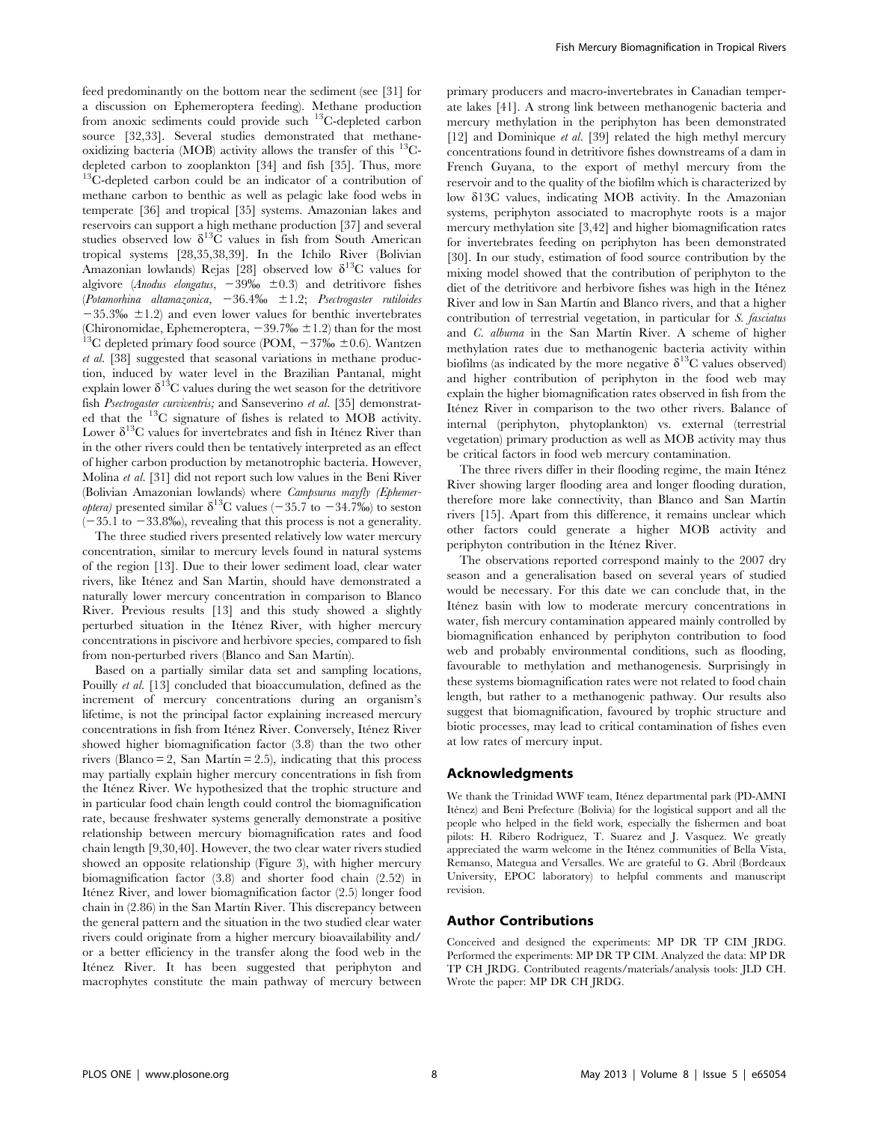feed predominantly on the bottom near the sediment (see [31] for a discussion on Ephemeroptera feeding). Methane production from anoxic sediments could provide such 13C-depleted carbon source [32,33]. Several studies demonstrated that methaneoxidizing bacteria (MOB) activity allows the transfer of this  $^{13}$ Cdepleted carbon to zooplankton [34] and fish [35]. Thus, more  $13^{\circ}$ C-depleted carbon could be an indicator of a contribution of methane carbon to benthic as well as pelagic lake food webs in temperate [36] and tropical [35] systems. Amazonian lakes and reservoirs can support a high methane production [37] and several studies observed low  $\delta^{13}$ C values in fish from South American tropical systems [28,35,38,39]. In the Ichilo River (Bolivian Amazonian lowlands) Rejas [28] observed low  $\delta^{13}C$  values for algivore (Anodus elongatus,  $-39\%$   $\pm 0.3$ ) and detritivore fishes (Potamorhina altamazonica,  $-36.4\%$   $\pm 1.2$ ; Psectrogaster rutiloides  $-35.3\%$   $\pm 1.2$ ) and even lower values for benthic invertebrates (Chironomidae, Ephemeroptera,  $-39.7\% \pm 1.2$ ) than for the most <sup>13</sup>C depleted primary food source (POM,  $-37\% \pm 0.6$ ). Wantzen et al. [38] suggested that seasonal variations in methane production, induced by water level in the Brazilian Pantanal, might explain lower  $\delta^{13}$ C values during the wet season for the detritivore fish Psectrogaster curviventris; and Sanseverino et al. [35] demonstrated that the 13C signature of fishes is related to MOB activity. Lower  $\delta^{13}C$  values for invertebrates and fish in Itenez River than in the other rivers could then be tentatively interpreted as an effect of higher carbon production by metanotrophic bacteria. However, Molina et al. [31] did not report such low values in the Beni River (Bolivian Amazonian lowlands) where Campsurus mayfly (Ephemer*optera*) presented similar  $\delta^{13}$ C values (-35.7 to -34.7%) to seston  $(-35.1 \text{ to } -33.8\%)$ , revealing that this process is not a generality.

The three studied rivers presented relatively low water mercury concentration, similar to mercury levels found in natural systems of the region [13]. Due to their lower sediment load, clear water rivers, like Iténez and San Martin, should have demonstrated a naturally lower mercury concentration in comparison to Blanco River. Previous results [13] and this study showed a slightly perturbed situation in the Iténez River, with higher mercury concentrations in piscivore and herbivore species, compared to fish from non-perturbed rivers (Blanco and San Martín).

Based on a partially similar data set and sampling locations, Pouilly et al. [13] concluded that bioaccumulation, defined as the increment of mercury concentrations during an organism's lifetime, is not the principal factor explaining increased mercury concentrations in fish from Iténez River. Conversely, Iténez River. showed higher biomagnification factor (3.8) than the two other rivers (Blanco = 2, San Martin = 2.5), indicating that this process may partially explain higher mercury concentrations in fish from the Iténez River. We hypothesized that the trophic structure and in particular food chain length could control the biomagnification rate, because freshwater systems generally demonstrate a positive relationship between mercury biomagnification rates and food chain length [9,30,40]. However, the two clear water rivers studied showed an opposite relationship (Figure 3), with higher mercury biomagnification factor (3.8) and shorter food chain (2.52) in Ite´nez River, and lower biomagnification factor (2.5) longer food chain in  $(2.86)$  in the San Martin River. This discrepancy between the general pattern and the situation in the two studied clear water rivers could originate from a higher mercury bioavailability and/ or a better efficiency in the transfer along the food web in the Iténez River. It has been suggested that periphyton and macrophytes constitute the main pathway of mercury between primary producers and macro-invertebrates in Canadian temperate lakes [41]. A strong link between methanogenic bacteria and mercury methylation in the periphyton has been demonstrated [12] and Dominique et al. [39] related the high methyl mercury concentrations found in detritivore fishes downstreams of a dam in French Guyana, to the export of methyl mercury from the reservoir and to the quality of the biofilm which is characterized by low d13C values, indicating MOB activity. In the Amazonian systems, periphyton associated to macrophyte roots is a major mercury methylation site [3,42] and higher biomagnification rates for invertebrates feeding on periphyton has been demonstrated [30]. In our study, estimation of food source contribution by the mixing model showed that the contribution of periphyton to the diet of the detritivore and herbivore fishes was high in the Iténez River and low in San Martín and Blanco rivers, and that a higher contribution of terrestrial vegetation, in particular for S. fasciatus and  $C$ . *alburna* in the San Martín River. A scheme of higher methylation rates due to methanogenic bacteria activity within biofilms (as indicated by the more negative  $\delta^{13}$ C values observed) and higher contribution of periphyton in the food web may explain the higher biomagnification rates observed in fish from the Iténez River in comparison to the two other rivers. Balance of internal (periphyton, phytoplankton) vs. external (terrestrial vegetation) primary production as well as MOB activity may thus be critical factors in food web mercury contamination.

The three rivers differ in their flooding regime, the main Itenez River showing larger flooding area and longer flooding duration, therefore more lake connectivity, than Blanco and San Martín rivers [15]. Apart from this difference, it remains unclear which other factors could generate a higher MOB activity and periphyton contribution in the Itenez River.

The observations reported correspond mainly to the 2007 dry season and a generalisation based on several years of studied would be necessary. For this date we can conclude that, in the Iténez basin with low to moderate mercury concentrations in water, fish mercury contamination appeared mainly controlled by biomagnification enhanced by periphyton contribution to food web and probably environmental conditions, such as flooding, favourable to methylation and methanogenesis. Surprisingly in these systems biomagnification rates were not related to food chain length, but rather to a methanogenic pathway. Our results also suggest that biomagnification, favoured by trophic structure and biotic processes, may lead to critical contamination of fishes even at low rates of mercury input.

# Acknowledgments

We thank the Trinidad WWF team, Iténez departmental park (PD-AMNI Iténez) and Beni Prefecture (Bolivia) for the logistical support and all the people who helped in the field work, especially the fishermen and boat pilots: H. Ribero Rodriguez, T. Suarez and J. Vasquez. We greatly appreciated the warm welcome in the Iténez communities of Bella Vista, Remanso, Mategua and Versalles. We are grateful to G. Abril (Bordeaux University, EPOC laboratory) to helpful comments and manuscript revision.

# Author Contributions

Conceived and designed the experiments: MP DR TP CIM JRDG. Performed the experiments: MP DR TP CIM. Analyzed the data: MP DR TP CH JRDG. Contributed reagents/materials/analysis tools: JLD CH. Wrote the paper: MP DR CH JRDG.